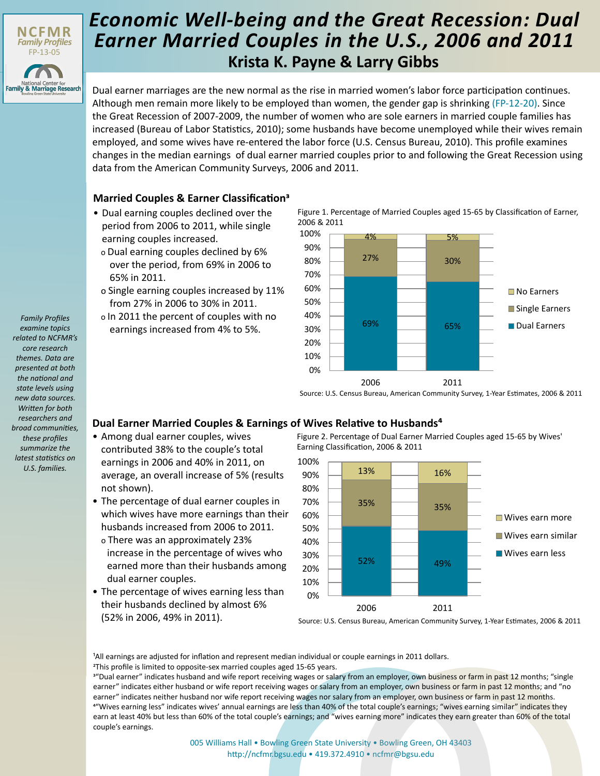

## **Krista K. Payne & Larry Gibbs** *Economic Well-being and the Great Recession: Dual Earner Married Couples in the U.S., 2006 and 2011*

Dual earner marriages are the new normal as the rise in married women's labor force participation continues. Although men remain more likely to be employed than women, the gender gap is shrinking [\(FP-12-20\)](http://ncfmr.bgsu.edu/pdf/family_profiles/file117987.pdf). Since the Great Recession of 2007-2009, the number of women who are sole earners in married couple families has increased (Bureau of Labor Statistics, 2010); some husbands have become unemployed while their wives remain employed, and some wives have re-entered the labor force (U.S. Census Bureau, 2010). This profile examines changes in the median earnings of dual earner married couples prior to and following the Great Recession using data from the American Community Surveys, 2006 and 2011.

## **Married Couples & Earner Classification3**

- Dual earning couples declined over the period from 2006 to 2011, while single earning couples increased.
	- o Dual earning couples declined by 6% over the period, from 69% in 2006 to 65% in 2011.
	- o Single earning couples increased by 11% from 27% in 2006 to 30% in 2011.
- o In 2011 the percent of couples with no earnings increased from 4% to 5%.

Figure 1. Percentage of Married Couples aged 15-65 by Classification of Earner, 2006 & 2011



Source: U.S. Census Bureau, American Community Survey, 1-Year Estimates, 2006 & 2011

## **Dual Earner Married Couples & Earnings of Wives Relative to Husbands⁴**

- Among dual earner couples, wives contributed 38% to the couple's total earnings in 2006 and 40% in 2011, on average, an overall increase of 5% (results not shown).
- The percentage of dual earner couples in which wives have more earnings than their husbands increased from 2006 to 2011.
	- o There was an approximately 23% increase in the percentage of wives who earned more than their husbands among dual earner couples.
- The percentage of wives earning less than their husbands declined by almost 6% (52% in 2006, 49% in 2011).

Figure 2. Percentage of Dual Earner Married Couples aged 15-65 by Wives' Earning Classification, 2006 & 2011



Source: U.S. Census Bureau, American Community Survey, 1-Year Estimates, 2006 & 2011

<sup>1</sup>All earnings are adjusted for inflation and represent median individual or couple earnings in 2011 dollars.

2This profile is limited to opposite-sex married couples aged 15-65 years.

<sup>3"</sup>Dual earner" indicates husband and wife report receiving wages or salary from an employer, own business or farm in past 12 months; "single earner" indicates either husband or wife report receiving wages or salary from an employer, own business or farm in past 12 months; and "no earner" indicates neither husband nor wife report receiving wages nor salary from an employer, own business or farm in past 12 months. <sup>4"</sup>Wives earning less" indicates wives' annual earnings are less than 40% of the total couple's earnings; "wives earning similar" indicates they earn at least 40% but less than 60% of the total couple's earnings; and "wives earning more" indicates they earn greater than 60% of the total couple's earnings.

> [005 Williams Hall • Bowling Green State University • Bowling Green, OH 43403](http://ncfmr.bgsu.edu) http://ncfmr.bgsu.edu • 419.372.4910 • ncfmr@bgsu.edu

*Family Profiles examine topics related to NCFMR's core research themes. Data are presented at both the national and state levels using new data sources. Written for both researchers and broad communities, these profiles summarize the latest statistics on U.S. families.*